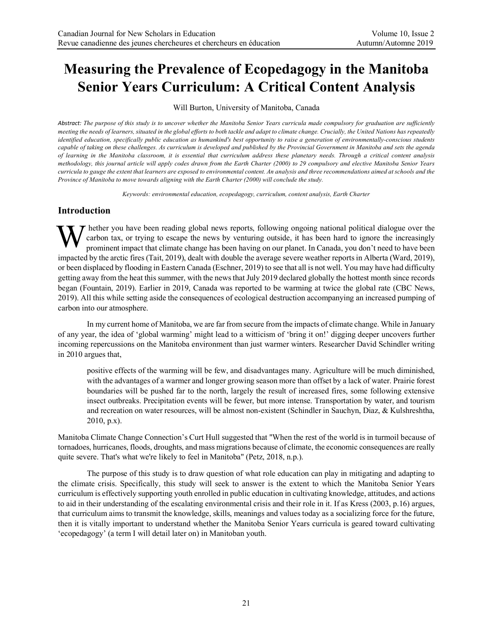# **Measuring the Prevalence of Ecopedagogy in the Manitoba Senior Years Curriculum: A Critical Content Analysis**

Will Burton, University of Manitoba, Canada

*Abstract: The purpose of this study is to uncover whether the Manitoba Senior Years curricula made compulsory for graduation are sufficiently meeting the needs of learners, situated in the global efforts to both tackle and adapt to climate change. Crucially, the United Nations has repeatedly identified education, specifically public education as humankind's best opportunity to raise a generation of environmentally-conscious students capable of taking on these challenges. As curriculum is developed and published by the Provincial Government in Manitoba and sets the agenda of learning in the Manitoba classroom, it is essential that curriculum address these planetary needs. Through a critical content analysis methodology, this journal article will apply codes drawn from the Earth Charter (2000) to 29 compulsory and elective Manitoba Senior Years curricula to gauge the extent that learners are exposed to environmental content. An analysis and three recommendations aimed at schools and the Province of Manitoba to move towards aligning with the Earth Charter (2000) will conclude the study.*

*Keywords: environmental education, ecopedagogy, curriculum, content analysis, Earth Charter*

#### **Introduction**

 $\tau$  hether you have been reading global news reports, following ongoing national political dialogue over the carbon tax, or trying to escape the news by venturing outside, it has been hard to ignore the increasingly prominent impact that climate change has been having on our planet. In Canada, you don't need to have been impacted by the arctic fires (Tait, 2019), dealt with double the average severe weather reports in Alberta (Ward, 2019), or been displaced by flooding in Eastern Canada (Eschner, 2019) to see that all is not well. You may have had difficulty getting away from the heat this summer, with the news that July 2019 declared globally the hottest month since records began (Fountain, 2019). Earlier in 2019, Canada was reported to be warming at twice the global rate (CBC News, 2019). All this while setting aside the consequences of ecological destruction accompanying an increased pumping of carbon into our atmosphere. W

In my current home of Manitoba, we are far from secure from the impacts of climate change. While in January of any year, the idea of 'global warming' might lead to a witticism of 'bring it on!' digging deeper uncovers further incoming repercussions on the Manitoba environment than just warmer winters. Researcher David Schindler writing in 2010 argues that,

positive effects of the warming will be few, and disadvantages many. Agriculture will be much diminished, with the advantages of a warmer and longer growing season more than offset by a lack of water. Prairie forest boundaries will be pushed far to the north, largely the result of increased fires, some following extensive insect outbreaks. Precipitation events will be fewer, but more intense. Transportation by water, and tourism and recreation on water resources, will be almost non-existent (Schindler in Sauchyn, Diaz, & Kulshreshtha, 2010, p.x).

Manitoba Climate Change Connection's Curt Hull suggested that "When the rest of the world is in turmoil because of tornadoes, hurricanes, floods, droughts, and mass migrations because of climate, the economic consequences are really quite severe. That's what we're likely to feel in Manitoba" (Petz, 2018, n.p.).

The purpose of this study is to draw question of what role education can play in mitigating and adapting to the climate crisis. Specifically, this study will seek to answer is the extent to which the Manitoba Senior Years curriculum is effectively supporting youth enrolled in public education in cultivating knowledge, attitudes, and actions to aid in their understanding of the escalating environmental crisis and their role in it. If as Kress (2003, p.16) argues, that curriculum aims to transmit the knowledge, skills, meanings and values today as a socializing force for the future, then it is vitally important to understand whether the Manitoba Senior Years curricula is geared toward cultivating 'ecopedagogy' (a term I will detail later on) in Manitoban youth.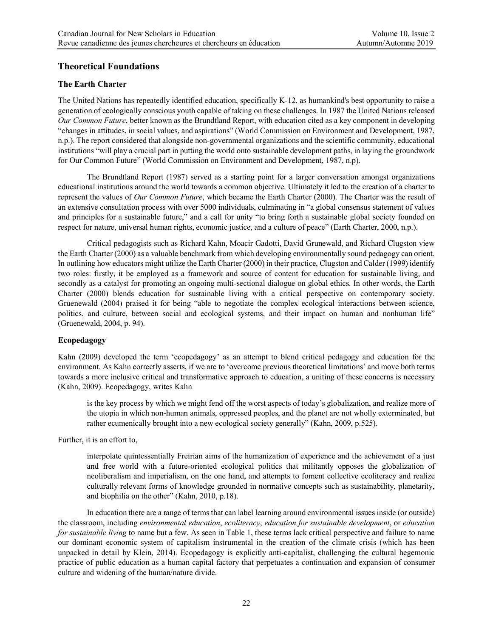## **Theoretical Foundations**

#### **The Earth Charter**

The United Nations has repeatedly identified education, specifically K-12, as humankind's best opportunity to raise a generation of ecologically conscious youth capable of taking on these challenges. In 1987 the United Nations released *Our Common Future*, better known as the Brundtland Report, with education cited as a key component in developing "changes in attitudes, in social values, and aspirations" (World Commission on Environment and Development, 1987, n.p.). The report considered that alongside non-governmental organizations and the scientific community, educational institutions "will play a crucial part in putting the world onto sustainable development paths, in laying the groundwork for Our Common Future" (World Commission on Environment and Development, 1987, n.p).

The Brundtland Report (1987) served as a starting point for a larger conversation amongst organizations educational institutions around the world towards a common objective. Ultimately it led to the creation of a charter to represent the values of *Our Common Future*, which became the Earth Charter (2000). The Charter was the result of an extensive consultation process with over 5000 individuals, culminating in "a global consensus statement of values and principles for a sustainable future," and a call for unity "to bring forth a sustainable global society founded on respect for nature, universal human rights, economic justice, and a culture of peace" (Earth Charter, 2000, n.p.).

Critical pedagogists such as Richard Kahn, Moacir Gadotti, David Grunewald, and Richard Clugston view the Earth Charter (2000) as a valuable benchmark from which developing environmentally sound pedagogy can orient. In outlining how educators might utilize the Earth Charter (2000) in their practice, Clugston and Calder (1999) identify two roles: firstly, it be employed as a framework and source of content for education for sustainable living, and secondly as a catalyst for promoting an ongoing multi-sectional dialogue on global ethics. In other words, the Earth Charter (2000) blends education for sustainable living with a critical perspective on contemporary society. Gruenewald (2004) praised it for being "able to negotiate the complex ecological interactions between science, politics, and culture, between social and ecological systems, and their impact on human and nonhuman life" (Gruenewald, 2004, p. 94).

#### **Ecopedagogy**

Kahn (2009) developed the term 'ecopedagogy' as an attempt to blend critical pedagogy and education for the environment. As Kahn correctly asserts, if we are to 'overcome previous theoretical limitations' and move both terms towards a more inclusive critical and transformative approach to education, a uniting of these concerns is necessary (Kahn, 2009). Ecopedagogy, writes Kahn

is the key process by which we might fend off the worst aspects of today's globalization, and realize more of the utopia in which non-human animals, oppressed peoples, and the planet are not wholly exterminated, but rather ecumenically brought into a new ecological society generally" (Kahn, 2009, p.525).

Further, it is an effort to,

interpolate quintessentially Freirian aims of the humanization of experience and the achievement of a just and free world with a future-oriented ecological politics that militantly opposes the globalization of neoliberalism and imperialism, on the one hand, and attempts to foment collective ecoliteracy and realize culturally relevant forms of knowledge grounded in normative concepts such as sustainability, planetarity, and biophilia on the other" (Kahn, 2010, p.18).

In education there are a range of terms that can label learning around environmental issues inside (or outside) the classroom, including *environmental education*, *ecoliteracy*, *education for sustainable development*, or *education for sustainable living* to name but a few. As seen in Table 1, these terms lack critical perspective and failure to name our dominant economic system of capitalism instrumental in the creation of the climate crisis (which has been unpacked in detail by Klein, 2014). Ecopedagogy is explicitly anti-capitalist, challenging the cultural hegemonic practice of public education as a human capital factory that perpetuates a continuation and expansion of consumer culture and widening of the human/nature divide.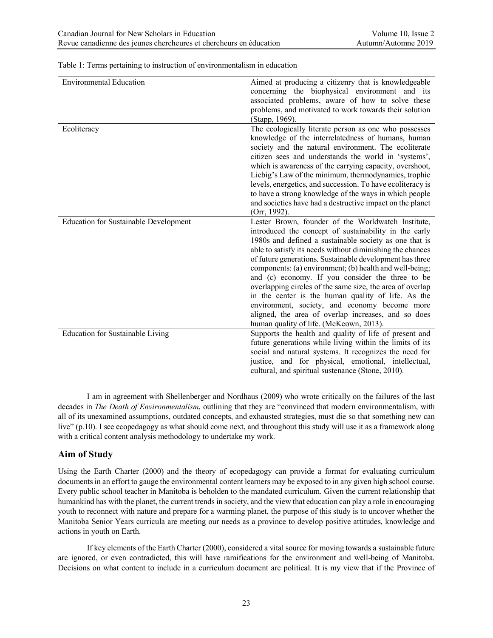| <b>Environmental Education</b>               | Aimed at producing a citizenry that is knowledgeable<br>concerning the biophysical environment and its<br>associated problems, aware of how to solve these<br>problems, and motivated to work towards their solution<br>(Stapp, 1969).                                                                                                                                                                                                                                                                                                                                                                                                                                              |
|----------------------------------------------|-------------------------------------------------------------------------------------------------------------------------------------------------------------------------------------------------------------------------------------------------------------------------------------------------------------------------------------------------------------------------------------------------------------------------------------------------------------------------------------------------------------------------------------------------------------------------------------------------------------------------------------------------------------------------------------|
| Ecoliteracy                                  | The ecologically literate person as one who possesses<br>knowledge of the interrelatedness of humans, human<br>society and the natural environment. The ecoliterate<br>citizen sees and understands the world in 'systems',<br>which is awareness of the carrying capacity, overshoot,<br>Liebig's Law of the minimum, thermodynamics, trophic<br>levels, energetics, and succession. To have ecoliteracy is<br>to have a strong knowledge of the ways in which people<br>and societies have had a destructive impact on the planet<br>(Orr, 1992).                                                                                                                                 |
| <b>Education for Sustainable Development</b> | Lester Brown, founder of the Worldwatch Institute,<br>introduced the concept of sustainability in the early<br>1980s and defined a sustainable society as one that is<br>able to satisfy its needs without diminishing the chances<br>of future generations. Sustainable development has three<br>components: (a) environment; (b) health and well-being;<br>and (c) economy. If you consider the three to be<br>overlapping circles of the same size, the area of overlap<br>in the center is the human quality of life. As the<br>environment, society, and economy become more<br>aligned, the area of overlap increases, and so does<br>human quality of life. (McKeown, 2013). |
| Education for Sustainable Living             | Supports the health and quality of life of present and<br>future generations while living within the limits of its<br>social and natural systems. It recognizes the need for<br>justice, and for physical, emotional, intellectual,<br>cultural, and spiritual sustenance (Stone, 2010).                                                                                                                                                                                                                                                                                                                                                                                            |

Table 1: Terms pertaining to instruction of environmentalism in education

I am in agreement with Shellenberger and Nordhaus (2009) who wrote critically on the failures of the last decades in *The Death of Environmentalism*, outlining that they are "convinced that modern environmentalism, with all of its unexamined assumptions, outdated concepts, and exhausted strategies, must die so that something new can live" (p.10). I see ecopedagogy as what should come next, and throughout this study will use it as a framework along with a critical content analysis methodology to undertake my work.

#### **Aim of Study**

Using the Earth Charter (2000) and the theory of ecopedagogy can provide a format for evaluating curriculum documents in an effort to gauge the environmental content learners may be exposed to in any given high school course. Every public school teacher in Manitoba is beholden to the mandated curriculum. Given the current relationship that humankind has with the planet, the current trends in society, and the view that education can play a role in encouraging youth to reconnect with nature and prepare for a warming planet, the purpose of this study is to uncover whether the Manitoba Senior Years curricula are meeting our needs as a province to develop positive attitudes, knowledge and actions in youth on Earth.

If key elements of the Earth Charter (2000), considered a vital source for moving towards a sustainable future are ignored, or even contradicted, this will have ramifications for the environment and well-being of Manitoba. Decisions on what content to include in a curriculum document are political. It is my view that if the Province of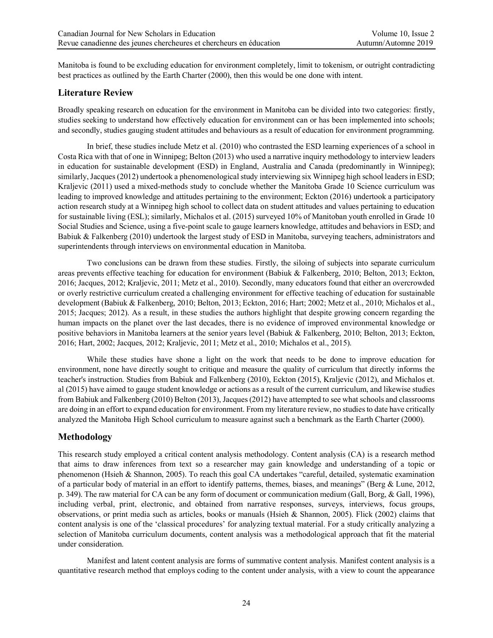Manitoba is found to be excluding education for environment completely, limit to tokenism, or outright contradicting best practices as outlined by the Earth Charter (2000), then this would be one done with intent.

#### **Literature Review**

Broadly speaking research on education for the environment in Manitoba can be divided into two categories: firstly, studies seeking to understand how effectively education for environment can or has been implemented into schools; and secondly, studies gauging student attitudes and behaviours as a result of education for environment programming.

In brief, these studies include Metz et al. (2010) who contrasted the ESD learning experiences of a school in Costa Rica with that of one in Winnipeg; Belton (2013) who used a narrative inquiry methodology to interview leaders in education for sustainable development (ESD) in England, Australia and Canada (predominantly in Winnipeg); similarly, Jacques (2012) undertook a phenomenological study interviewing six Winnipeg high school leaders in ESD; Kraljevic (2011) used a mixed-methods study to conclude whether the Manitoba Grade 10 Science curriculum was leading to improved knowledge and attitudes pertaining to the environment; Eckton (2016) undertook a participatory action research study at a Winnipeg high school to collect data on student attitudes and values pertaining to education for sustainable living (ESL); similarly, Michalos et al. (2015) surveyed 10% of Manitoban youth enrolled in Grade 10 Social Studies and Science, using a five-point scale to gauge learners knowledge, attitudes and behaviors in ESD; and Babiuk & Falkenberg (2010) undertook the largest study of ESD in Manitoba, surveying teachers, administrators and superintendents through interviews on environmental education in Manitoba.

Two conclusions can be drawn from these studies. Firstly, the siloing of subjects into separate curriculum areas prevents effective teaching for education for environment (Babiuk & Falkenberg, 2010; Belton, 2013; Eckton, 2016; Jacques, 2012; Kraljevic, 2011; Metz et al., 2010). Secondly, many educators found that either an overcrowded or overly restrictive curriculum created a challenging environment for effective teaching of education for sustainable development (Babiuk & Falkenberg, 2010; Belton, 2013; Eckton, 2016; Hart; 2002; Metz et al., 2010; Michalos et al., 2015; Jacques; 2012). As a result, in these studies the authors highlight that despite growing concern regarding the human impacts on the planet over the last decades, there is no evidence of improved environmental knowledge or positive behaviors in Manitoba learners at the senior years level (Babiuk & Falkenberg, 2010; Belton, 2013; Eckton, 2016; Hart, 2002; Jacques, 2012; Kraljevic, 2011; Metz et al., 2010; Michalos et al., 2015).

While these studies have shone a light on the work that needs to be done to improve education for environment, none have directly sought to critique and measure the quality of curriculum that directly informs the teacher's instruction. Studies from Babiuk and Falkenberg (2010), Eckton (2015), Kraljevic (2012), and Michalos et. al (2015) have aimed to gauge student knowledge or actions as a result of the current curriculum, and likewise studies from Babiuk and Falkenberg (2010) Belton (2013), Jacques (2012) have attempted to see what schools and classrooms are doing in an effort to expand education for environment. From my literature review, no studies to date have critically analyzed the Manitoba High School curriculum to measure against such a benchmark as the Earth Charter (2000).

#### **Methodology**

This research study employed a critical content analysis methodology. Content analysis (CA) is a research method that aims to draw inferences from text so a researcher may gain knowledge and understanding of a topic or phenomenon (Hsieh & Shannon, 2005). To reach this goal CA undertakes "careful, detailed, systematic examination of a particular body of material in an effort to identify patterns, themes, biases, and meanings" (Berg  $\&$  Lune, 2012, p. 349). The raw material for CA can be any form of document or communication medium (Gall, Borg, & Gall, 1996), including verbal, print, electronic, and obtained from narrative responses, surveys, interviews, focus groups, observations, or print media such as articles, books or manuals (Hsieh & Shannon, 2005). Flick (2002) claims that content analysis is one of the 'classical procedures' for analyzing textual material. For a study critically analyzing a selection of Manitoba curriculum documents, content analysis was a methodological approach that fit the material under consideration.

Manifest and latent content analysis are forms of summative content analysis. Manifest content analysis is a quantitative research method that employs coding to the content under analysis, with a view to count the appearance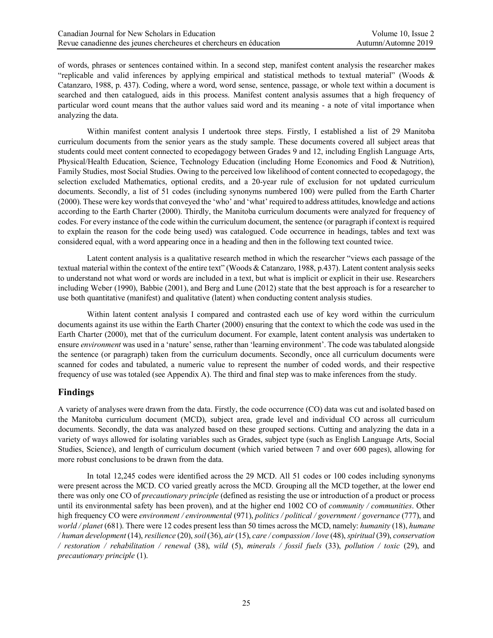of words, phrases or sentences contained within. In a second step, manifest content analysis the researcher makes "replicable and valid inferences by applying empirical and statistical methods to textual material" (Woods & Catanzaro, 1988, p. 437). Coding, where a word, word sense, sentence, passage, or whole text within a document is searched and then catalogued, aids in this process. Manifest content analysis assumes that a high frequency of particular word count means that the author values said word and its meaning - a note of vital importance when analyzing the data.

Within manifest content analysis I undertook three steps. Firstly, I established a list of 29 Manitoba curriculum documents from the senior years as the study sample. These documents covered all subject areas that students could meet content connected to ecopedagogy between Grades 9 and 12, including English Language Arts, Physical/Health Education, Science, Technology Education (including Home Economics and Food & Nutrition), Family Studies, most Social Studies. Owing to the perceived low likelihood of content connected to ecopedagogy, the selection excluded Mathematics, optional credits, and a 20-year rule of exclusion for not updated curriculum documents. Secondly, a list of 51 codes (including synonyms numbered 100) were pulled from the Earth Charter (2000). These were key words that conveyed the 'who' and 'what' required to address attitudes, knowledge and actions according to the Earth Charter (2000). Thirdly, the Manitoba curriculum documents were analyzed for frequency of codes. For every instance of the code within the curriculum document, the sentence (or paragraph if context is required to explain the reason for the code being used) was catalogued. Code occurrence in headings, tables and text was considered equal, with a word appearing once in a heading and then in the following text counted twice.

Latent content analysis is a qualitative research method in which the researcher "views each passage of the textual material within the context of the entire text" (Woods & Catanzaro, 1988, p.437). Latent content analysis seeks to understand not what word or words are included in a text, but what is implicit or explicit in their use. Researchers including Weber (1990), Babbie (2001), and Berg and Lune (2012) state that the best approach is for a researcher to use both quantitative (manifest) and qualitative (latent) when conducting content analysis studies.

Within latent content analysis I compared and contrasted each use of key word within the curriculum documents against its use within the Earth Charter (2000) ensuring that the context to which the code was used in the Earth Charter (2000), met that of the curriculum document. For example, latent content analysis was undertaken to ensure *environment* was used in a 'nature' sense, rather than 'learning environment'. The code was tabulated alongside the sentence (or paragraph) taken from the curriculum documents. Secondly, once all curriculum documents were scanned for codes and tabulated, a numeric value to represent the number of coded words, and their respective frequency of use was totaled (see Appendix A). The third and final step was to make inferences from the study.

## **Findings**

A variety of analyses were drawn from the data. Firstly, the code occurrence (CO) data was cut and isolated based on the Manitoba curriculum document (MCD), subject area, grade level and individual CO across all curriculum documents. Secondly, the data was analyzed based on these grouped sections. Cutting and analyzing the data in a variety of ways allowed for isolating variables such as Grades, subject type (such as English Language Arts, Social Studies, Science), and length of curriculum document (which varied between 7 and over 600 pages), allowing for more robust conclusions to be drawn from the data.

In total 12,245 codes were identified across the 29 MCD. All 51 codes or 100 codes including synonyms were present across the MCD. CO varied greatly across the MCD. Grouping all the MCD together, at the lower end there was only one CO of *precautionary principle* (defined as resisting the use or introduction of a product or process until its environmental safety has been proven), and at the higher end 1002 CO of *community / communities*. Other high frequency CO were *environment / environmental* (971), *politics / political / government / governance* (777), and *world / planet* (681). There were 12 codes present less than 50 times across the MCD, namely: *humanity* (18), *humane / human development* (14), *resilience* (20), *soil* (36), *air* (15), *care / compassion / love* (48), *spiritual* (39), *conservation / restoration / rehabilitation / renewal* (38), *wild* (5), *minerals / fossil fuels* (33), *pollution / toxic* (29), and *precautionary principle* (1).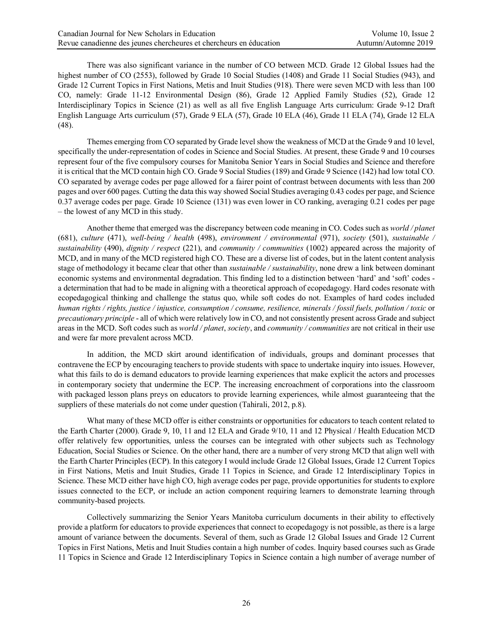There was also significant variance in the number of CO between MCD. Grade 12 Global Issues had the highest number of CO (2553), followed by Grade 10 Social Studies (1408) and Grade 11 Social Studies (943), and Grade 12 Current Topics in First Nations, Metis and Inuit Studies (918). There were seven MCD with less than 100 CO, namely: Grade 11-12 Environmental Design (86), Grade 12 Applied Family Studies (52), Grade 12 Interdisciplinary Topics in Science (21) as well as all five English Language Arts curriculum: Grade 9-12 Draft English Language Arts curriculum (57), Grade 9 ELA (57), Grade 10 ELA (46), Grade 11 ELA (74), Grade 12 ELA (48).

Themes emerging from CO separated by Grade level show the weakness of MCD at the Grade 9 and 10 level, specifically the under-representation of codes in Science and Social Studies. At present, these Grade 9 and 10 courses represent four of the five compulsory courses for Manitoba Senior Years in Social Studies and Science and therefore it is critical that the MCD contain high CO. Grade 9 Social Studies (189) and Grade 9 Science (142) had low total CO. CO separated by average codes per page allowed for a fairer point of contrast between documents with less than 200 pages and over 600 pages. Cutting the data this way showed Social Studies averaging 0.43 codes per page, and Science 0.37 average codes per page. Grade 10 Science (131) was even lower in CO ranking, averaging 0.21 codes per page – the lowest of any MCD in this study.

Another theme that emerged was the discrepancy between code meaning in CO. Codes such as *world / planet* (681), *culture* (471), *well-being / health* (498), *environment / environmental* (971), *society* (501), *sustainable / sustainability* (490), *dignity / respect* (221), and *community / communities* (1002) appeared across the majority of MCD, and in many of the MCD registered high CO. These are a diverse list of codes, but in the latent content analysis stage of methodology it became clear that other than *sustainable / sustainability*, none drew a link between dominant economic systems and environmental degradation. This finding led to a distinction between 'hard' and 'soft' codes a determination that had to be made in aligning with a theoretical approach of ecopedagogy. Hard codes resonate with ecopedagogical thinking and challenge the status quo, while soft codes do not. Examples of hard codes included *human rights / rights, justice / injustice, consumption / consume, resilience, minerals / fossil fuels, pollution / toxic* or *precautionary principle* - all of which were relatively low in CO, and not consistently present across Grade and subject areas in the MCD. Soft codes such as *world / planet*, *society*, and *community / communities* are not critical in their use and were far more prevalent across MCD.

In addition, the MCD skirt around identification of individuals, groups and dominant processes that contravene the ECP by encouraging teachers to provide students with space to undertake inquiry into issues. However, what this fails to do is demand educators to provide learning experiences that make explicit the actors and processes in contemporary society that undermine the ECP. The increasing encroachment of corporations into the classroom with packaged lesson plans preys on educators to provide learning experiences, while almost guaranteeing that the suppliers of these materials do not come under question (Tahirali, 2012, p.8).

What many of these MCD offer is either constraints or opportunities for educators to teach content related to the Earth Charter (2000). Grade 9, 10, 11 and 12 ELA and Grade 9/10, 11 and 12 Physical / Health Education MCD offer relatively few opportunities, unless the courses can be integrated with other subjects such as Technology Education, Social Studies or Science. On the other hand, there are a number of very strong MCD that align well with the Earth Charter Principles (ECP). In this category I would include Grade 12 Global Issues, Grade 12 Current Topics in First Nations, Metis and Inuit Studies, Grade 11 Topics in Science, and Grade 12 Interdisciplinary Topics in Science. These MCD either have high CO, high average codes per page, provide opportunities for students to explore issues connected to the ECP, or include an action component requiring learners to demonstrate learning through community-based projects.

Collectively summarizing the Senior Years Manitoba curriculum documents in their ability to effectively provide a platform for educators to provide experiences that connect to ecopedagogy is not possible, as there is a large amount of variance between the documents. Several of them, such as Grade 12 Global Issues and Grade 12 Current Topics in First Nations, Metis and Inuit Studies contain a high number of codes. Inquiry based courses such as Grade 11 Topics in Science and Grade 12 Interdisciplinary Topics in Science contain a high number of average number of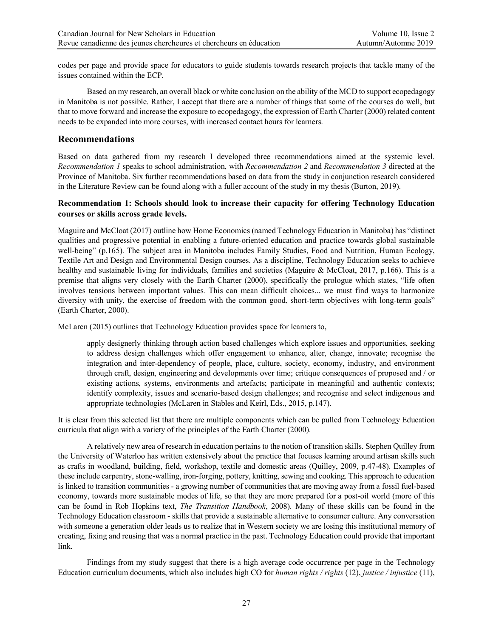codes per page and provide space for educators to guide students towards research projects that tackle many of the issues contained within the ECP.

Based on my research, an overall black or white conclusion on the ability of the MCD to support ecopedagogy in Manitoba is not possible. Rather, I accept that there are a number of things that some of the courses do well, but that to move forward and increase the exposure to ecopedagogy, the expression of Earth Charter (2000) related content needs to be expanded into more courses, with increased contact hours for learners.

#### **Recommendations**

Based on data gathered from my research I developed three recommendations aimed at the systemic level. *Recommendation 1* speaks to school administration, with *Recommendation 2* and *Recommendation 3* directed at the Province of Manitoba. Six further recommendations based on data from the study in conjunction research considered in the Literature Review can be found along with a fuller account of the study in my thesis (Burton, 2019).

#### **Recommendation 1: Schools should look to increase their capacity for offering Technology Education courses or skills across grade levels.**

Maguire and McCloat (2017) outline how Home Economics (named Technology Education in Manitoba) has "distinct qualities and progressive potential in enabling a future-oriented education and practice towards global sustainable well-being" (p.165). The subject area in Manitoba includes Family Studies, Food and Nutrition, Human Ecology, Textile Art and Design and Environmental Design courses. As a discipline, Technology Education seeks to achieve healthy and sustainable living for individuals, families and societies (Maguire & McCloat, 2017, p.166). This is a premise that aligns very closely with the Earth Charter (2000), specifically the prologue which states, "life often involves tensions between important values. This can mean difficult choices... we must find ways to harmonize diversity with unity, the exercise of freedom with the common good, short-term objectives with long-term goals" (Earth Charter, 2000).

McLaren (2015) outlines that Technology Education provides space for learners to,

apply designerly thinking through action based challenges which explore issues and opportunities, seeking to address design challenges which offer engagement to enhance, alter, change, innovate; recognise the integration and inter-dependency of people, place, culture, society, economy, industry, and environment through craft, design, engineering and developments over time; critique consequences of proposed and / or existing actions, systems, environments and artefacts; participate in meaningful and authentic contexts; identify complexity, issues and scenario-based design challenges; and recognise and select indigenous and appropriate technologies (McLaren in Stables and Keirl, Eds., 2015, p.147).

It is clear from this selected list that there are multiple components which can be pulled from Technology Education curricula that align with a variety of the principles of the Earth Charter (2000).

A relatively new area of research in education pertains to the notion of transition skills. Stephen Quilley from the University of Waterloo has written extensively about the practice that focuses learning around artisan skills such as crafts in woodland, building, field, workshop, textile and domestic areas (Quilley, 2009, p.47-48). Examples of these include carpentry, stone-walling, iron-forging, pottery, knitting, sewing and cooking. This approach to education is linked to transition communities - a growing number of communities that are moving away from a fossil fuel-based economy, towards more sustainable modes of life, so that they are more prepared for a post-oil world (more of this can be found in Rob Hopkins text, *The Transition Handbook*, 2008). Many of these skills can be found in the Technology Education classroom - skills that provide a sustainable alternative to consumer culture. Any conversation with someone a generation older leads us to realize that in Western society we are losing this institutional memory of creating, fixing and reusing that was a normal practice in the past. Technology Education could provide that important link.

Findings from my study suggest that there is a high average code occurrence per page in the Technology Education curriculum documents, which also includes high CO for *human rights / rights* (12), *justice / injustice* (11),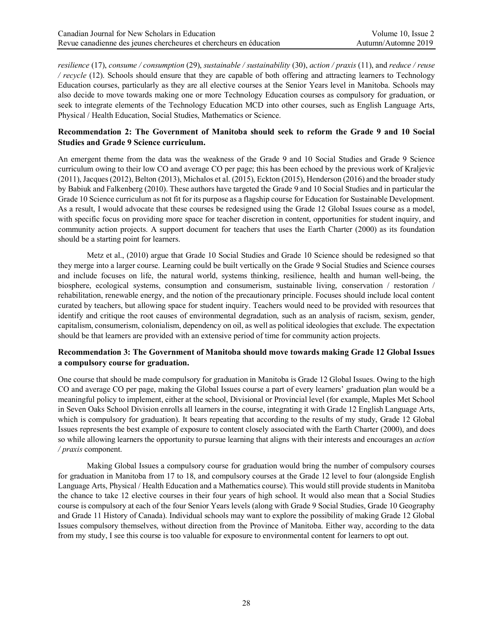*resilience* (17), *consume / consumption* (29), *sustainable / sustainability* (30), *action / praxis* (11), and *reduce / reuse / recycle* (12). Schools should ensure that they are capable of both offering and attracting learners to Technology Education courses, particularly as they are all elective courses at the Senior Years level in Manitoba. Schools may also decide to move towards making one or more Technology Education courses as compulsory for graduation, or seek to integrate elements of the Technology Education MCD into other courses, such as English Language Arts, Physical / Health Education, Social Studies, Mathematics or Science.

#### **Recommendation 2: The Government of Manitoba should seek to reform the Grade 9 and 10 Social Studies and Grade 9 Science curriculum.**

An emergent theme from the data was the weakness of the Grade 9 and 10 Social Studies and Grade 9 Science curriculum owing to their low CO and average CO per page; this has been echoed by the previous work of Kraljevic (2011), Jacques (2012), Belton (2013), Michalos et al. (2015), Eckton (2015), Henderson (2016) and the broader study by Babiuk and Falkenberg (2010). These authors have targeted the Grade 9 and 10 Social Studies and in particular the Grade 10 Science curriculum as not fit for its purpose as a flagship course for Education for Sustainable Development. As a result, I would advocate that these courses be redesigned using the Grade 12 Global Issues course as a model, with specific focus on providing more space for teacher discretion in content, opportunities for student inquiry, and community action projects. A support document for teachers that uses the Earth Charter (2000) as its foundation should be a starting point for learners.

Metz et al., (2010) argue that Grade 10 Social Studies and Grade 10 Science should be redesigned so that they merge into a larger course. Learning could be built vertically on the Grade 9 Social Studies and Science courses and include focuses on life, the natural world, systems thinking, resilience, health and human well-being, the biosphere, ecological systems, consumption and consumerism, sustainable living, conservation / restoration / rehabilitation, renewable energy, and the notion of the precautionary principle. Focuses should include local content curated by teachers, but allowing space for student inquiry. Teachers would need to be provided with resources that identify and critique the root causes of environmental degradation, such as an analysis of racism, sexism, gender, capitalism, consumerism, colonialism, dependency on oil, as well as political ideologies that exclude. The expectation should be that learners are provided with an extensive period of time for community action projects.

#### **Recommendation 3: The Government of Manitoba should move towards making Grade 12 Global Issues a compulsory course for graduation.**

One course that should be made compulsory for graduation in Manitoba is Grade 12 Global Issues. Owing to the high CO and average CO per page, making the Global Issues course a part of every learners' graduation plan would be a meaningful policy to implement, either at the school, Divisional or Provincial level (for example, Maples Met School in Seven Oaks School Division enrolls all learners in the course, integrating it with Grade 12 English Language Arts, which is compulsory for graduation). It bears repeating that according to the results of my study, Grade 12 Global Issues represents the best example of exposure to content closely associated with the Earth Charter (2000), and does so while allowing learners the opportunity to pursue learning that aligns with their interests and encourages an *action / praxis* component.

Making Global Issues a compulsory course for graduation would bring the number of compulsory courses for graduation in Manitoba from 17 to 18, and compulsory courses at the Grade 12 level to four (alongside English Language Arts, Physical / Health Education and a Mathematics course). This would still provide students in Manitoba the chance to take 12 elective courses in their four years of high school. It would also mean that a Social Studies course is compulsory at each of the four Senior Years levels (along with Grade 9 Social Studies, Grade 10 Geography and Grade 11 History of Canada). Individual schools may want to explore the possibility of making Grade 12 Global Issues compulsory themselves, without direction from the Province of Manitoba. Either way, according to the data from my study, I see this course is too valuable for exposure to environmental content for learners to opt out.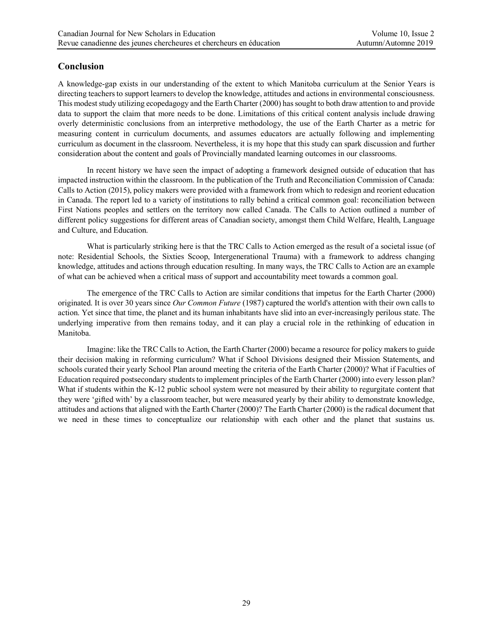# **Conclusion**

A knowledge-gap exists in our understanding of the extent to which Manitoba curriculum at the Senior Years is directing teachers to support learners to develop the knowledge, attitudes and actions in environmental consciousness. This modest study utilizing ecopedagogy and the Earth Charter (2000) has sought to both draw attention to and provide data to support the claim that more needs to be done. Limitations of this critical content analysis include drawing overly deterministic conclusions from an interpretive methodology, the use of the Earth Charter as a metric for measuring content in curriculum documents, and assumes educators are actually following and implementing curriculum as document in the classroom. Nevertheless, it is my hope that this study can spark discussion and further consideration about the content and goals of Provincially mandated learning outcomes in our classrooms.

In recent history we have seen the impact of adopting a framework designed outside of education that has impacted instruction within the classroom. In the publication of the Truth and Reconciliation Commission of Canada: Calls to Action (2015), policy makers were provided with a framework from which to redesign and reorient education in Canada. The report led to a variety of institutions to rally behind a critical common goal: reconciliation between First Nations peoples and settlers on the territory now called Canada. The Calls to Action outlined a number of different policy suggestions for different areas of Canadian society, amongst them Child Welfare, Health, Language and Culture, and Education.

What is particularly striking here is that the TRC Calls to Action emerged as the result of a societal issue (of note: Residential Schools, the Sixties Scoop, Intergenerational Trauma) with a framework to address changing knowledge, attitudes and actions through education resulting. In many ways, the TRC Calls to Action are an example of what can be achieved when a critical mass of support and accountability meet towards a common goal.

The emergence of the TRC Calls to Action are similar conditions that impetus for the Earth Charter (2000) originated. It is over 30 years since *Our Common Future* (1987) captured the world's attention with their own calls to action. Yet since that time, the planet and its human inhabitants have slid into an ever-increasingly perilous state. The underlying imperative from then remains today, and it can play a crucial role in the rethinking of education in Manitoba.

Imagine: like the TRC Calls to Action, the Earth Charter (2000) became a resource for policy makers to guide their decision making in reforming curriculum? What if School Divisions designed their Mission Statements, and schools curated their yearly School Plan around meeting the criteria of the Earth Charter (2000)? What if Faculties of Education required postsecondary students to implement principles of the Earth Charter (2000) into every lesson plan? What if students within the K-12 public school system were not measured by their ability to regurgitate content that they were 'gifted with' by a classroom teacher, but were measured yearly by their ability to demonstrate knowledge, attitudes and actions that aligned with the Earth Charter (2000)? The Earth Charter (2000) is the radical document that we need in these times to conceptualize our relationship with each other and the planet that sustains us.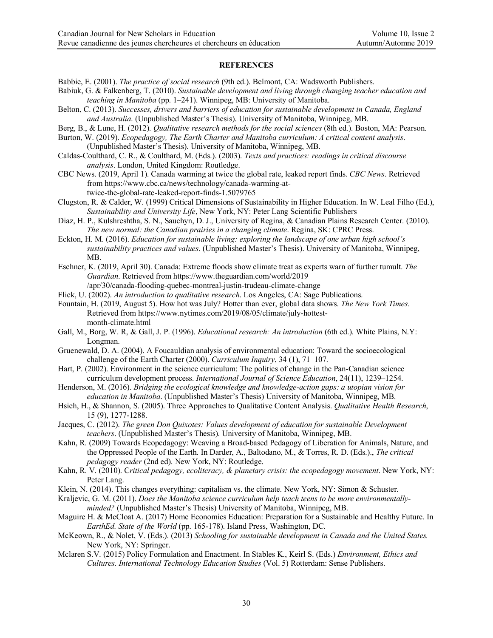#### **REFERENCES**

- Babbie, E. (2001). *The practice of social research* (9th ed.). Belmont, CA: Wadsworth Publishers.
- Babiuk, G. & Falkenberg, T. (2010). *Sustainable development and living through changing teacher education and teaching in Manitoba* (pp. 1–241). Winnipeg, MB: University of Manitoba.
- Belton, C. (2013). *Successes, drivers and barriers of education for sustainable development in Canada, England and Australia*. (Unpublished Master's Thesis). University of Manitoba, Winnipeg, MB.
- Berg, B., & Lune, H. (2012). *Qualitative research methods for the social sciences* (8th ed.). Boston, MA: Pearson.
- Burton, W. (2019). *Ecopedagogy, The Earth Charter and Manitoba curriculum: A critical content analysis*. (Unpublished Master's Thesis). University of Manitoba, Winnipeg, MB.
- Caldas-Coulthard, C. R., & Coulthard, M. (Eds.). (2003). *Texts and practices: readings in critical discourse analysis*. London, United Kingdom: Routledge.
- CBC News. (2019, April 1). Canada warming at twice the global rate, leaked report finds. *CBC News*. Retrieved from https://www.cbc.ca/news/technology/canada-warming-attwice-the-global-rate-leaked-report-finds-1.5079765
- Clugston, R. & Calder, W. (1999) Critical Dimensions of Sustainability in Higher Education. In W. Leal Filho (Ed.), *Sustainability and University Life*, New York, NY: Peter Lang Scientific Publishers
- Diaz, H. P., Kulshreshtha, S. N., Sauchyn, D. J., University of Regina, & Canadian Plains Research Center. (2010). *The new normal: the Canadian prairies in a changing climate*. Regina, SK: CPRC Press.
- Eckton, H. M. (2016). *Education for sustainable living: exploring the landscape of one urban high school's sustainability practices and values*. (Unpublished Master's Thesis). University of Manitoba, Winnipeg, MB.
- Eschner, K. (2019, April 30). Canada: Extreme floods show climate treat as experts warn of further tumult. *The Guardian*. Retrieved from https://www.theguardian.com/world/2019 /apr/30/canada-flooding-quebec-montreal-justin-trudeau-climate-change
- Flick, U. (2002). *An introduction to qualitative research*. Los Angeles, CA: Sage Publications.
- Fountain, H. (2019, August 5). How hot was July? Hotter than ever, global data shows. *The New York Times*. Retrieved from https://www.nytimes.com/2019/08/05/climate/july-hottestmonth-climate.html
- Gall, M., Borg, W. R, & Gall, J. P. (1996). *Educational research: An introduction* (6th ed.). White Plains, N.Y: Longman.
- Gruenewald, D. A. (2004). A Foucauldian analysis of environmental education: Toward the socioecological challenge of the Earth Charter (2000). *Curriculum Inquiry*, 34 (1), 71–107.
- Hart, P. (2002). Environment in the science curriculum: The politics of change in the Pan-Canadian science curriculum development process. *International Journal of Science Education*, 24(11), 1239–1254.
- Henderson, M. (2016). *Bridging the ecological knowledge and knowledge-action gaps: a utopian vision for education in Manitoba*. (Unpublished Master's Thesis) University of Manitoba, Winnipeg, MB.
- Hsieh, H., & Shannon, S. (2005). Three Approaches to Qualitative Content Analysis. *Qualitative Health Research*, 15 (9), 1277-1288.
- Jacques, C. (2012). *The green Don Quixotes: Values development of education for sustainable Development teachers*. (Unpublished Master's Thesis). University of Manitoba, Winnipeg, MB.
- Kahn, R. (2009) Towards Ecopedagogy: Weaving a Broad-based Pedagogy of Liberation for Animals, Nature, and the Oppressed People of the Earth. In Darder, A., Baltodano, M., & Torres, R. D. (Eds.)., *The critical pedagogy reader* (2nd ed). New York, NY: Routledge.
- Kahn, R. V. (2010). C*ritical pedagogy, ecoliteracy, & planetary crisis: the ecopedagogy movement*. New York, NY: Peter Lang.
- Klein, N. (2014). This changes everything: capitalism vs. the climate. New York, NY: Simon & Schuster.
- Kraljevic, G. M. (2011). *Does the Manitoba science curriculum help teach teens to be more environmentallyminded?* (Unpublished Master's Thesis) University of Manitoba, Winnipeg, MB.
- Maguire H. & McCloat A. (2017) Home Economics Education: Preparation for a Sustainable and Healthy Future. In *EarthEd. State of the World* (pp. 165-178). Island Press, Washington, DC.
- McKeown, R., & Nolet, V. (Eds.). (2013) *Schooling for sustainable development in Canada and the United States.* New York, NY: Springer.
- Mclaren S.V. (2015) Policy Formulation and Enactment. In Stables K., Keirl S. (Eds.) *Environment, Ethics and Cultures. International Technology Education Studies* (Vol. 5) Rotterdam: Sense Publishers.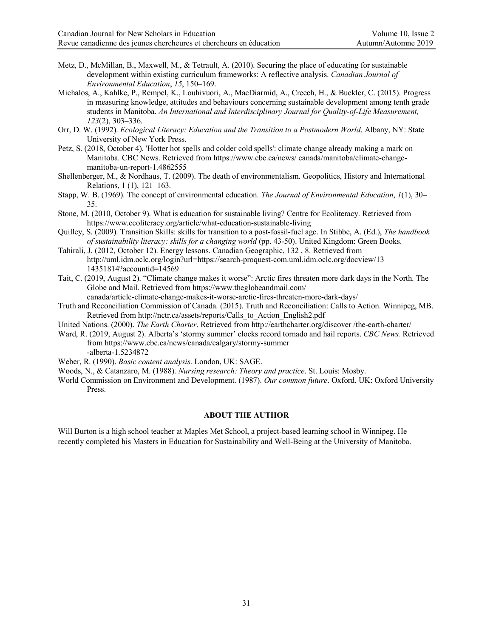- Metz, D., McMillan, B., Maxwell, M., & Tetrault, A. (2010). Securing the place of educating for sustainable development within existing curriculum frameworks: A reflective analysis. *Canadian Journal of Environmental Education*, *15*, 150–169.
- Michalos, A., Kahlke, P., Rempel, K., Louhivuori, A., MacDiarmid, A., Creech, H., & Buckler, C. (2015). Progress in measuring knowledge, attitudes and behaviours concerning sustainable development among tenth grade students in Manitoba. *An International and Interdisciplinary Journal for Quality-of-Life Measurement, 123*(2), 303–336.
- Orr, D. W. (1992). *Ecological Literacy: Education and the Transition to a Postmodern World*. Albany, NY: State University of New York Press.
- Petz, S. (2018, October 4). 'Hotter hot spells and colder cold spells': climate change already making a mark on Manitoba. CBC News. Retrieved from https://www.cbc.ca/news/ canada/manitoba/climate-changemanitoba-un-report-1.4862555
- Shellenberger, M., & Nordhaus, T. (2009). The death of environmentalism. Geopolitics, History and International Relations, 1 (1), 121–163.
- Stapp, W. B. (1969). The concept of environmental education. *The Journal of Environmental Education*, *1*(1), 30– 35.
- Stone, M. (2010, October 9). What is education for sustainable living? Centre for Ecoliteracy. Retrieved from https://www.ecoliteracy.org/article/what-education-sustainable-living
- Quilley, S. (2009). Transition Skills: skills for transition to a post-fossil-fuel age. In Stibbe, A. (Ed.), *The handbook of sustainability literacy: skills for a changing world* (pp. 43-50). United Kingdom: Green Books.
- Tahirali, J. (2012, October 12). Energy lessons. Canadian Geographic, 132 , 8. Retrieved from http://uml.idm.oclc.org/login?url=https://search-proquest-com.uml.idm.oclc.org/docview/13 14351814?accountid=14569
- Tait, C. (2019, August 2). "Climate change makes it worse": Arctic fires threaten more dark days in the North. The Globe and Mail. Retrieved from https://www.theglobeandmail.com/
	- canada/article-climate-change-makes-it-worse-arctic-fires-threaten-more-dark-days/
- Truth and Reconciliation Commission of Canada. (2015). Truth and Reconciliation: Calls to Action. Winnipeg, MB. Retrieved from http://nctr.ca/assets/reports/Calls\_to\_Action\_English2.pdf
- United Nations. (2000). *The Earth Charter*. Retrieved from http://earthcharter.org/discover /the-earth-charter/
- Ward, R. (2019, August 2). Alberta's 'stormy summer' clocks record tornado and hail reports. *CBC News.* Retrieved from https://www.cbc.ca/news/canada/calgary/stormy-summer
	- -alberta-1.5234872

Weber, R. (1990). *Basic content analysis*. London, UK: SAGE.

Woods, N., & Catanzaro, M. (1988). *Nursing research: Theory and practice*. St. Louis: Mosby.

World Commission on Environment and Development. (1987). *Our common future*. Oxford, UK: Oxford University Press.

#### **ABOUT THE AUTHOR**

Will Burton is a high school teacher at Maples Met School, a project-based learning school in Winnipeg. He recently completed his Masters in Education for Sustainability and Well-Being at the University of Manitoba.